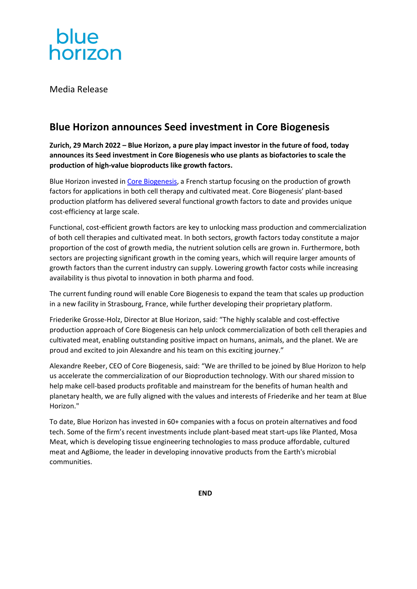

Media Release

# **Blue Horizon announces Seed investment in Core Biogenesis**

**Zurich, 29 March 2022 – Blue Horizon, a pure play impact investor in the future of food, today announces its Seed investment in Core Biogenesis who use plants as biofactories to scale the production of high-value bioproducts like growth factors.**

Blue Horizon invested in [Core Biogenesis,](https://corebiogenesis.com/) a French startup focusing on the production of growth factors for applications in both cell therapy and cultivated meat. Core Biogenesis' plant-based production platform has delivered several functional growth factors to date and provides unique cost-efficiency at large scale.

Functional, cost-efficient growth factors are key to unlocking mass production and commercialization of both cell therapies and cultivated meat. In both sectors, growth factors today constitute a major proportion of the cost of growth media, the nutrient solution cells are grown in. Furthermore, both sectors are projecting significant growth in the coming years, which will require larger amounts of growth factors than the current industry can supply. Lowering growth factor costs while increasing availability is thus pivotal to innovation in both pharma and food.

The current funding round will enable Core Biogenesis to expand the team that scales up production in a new facility in Strasbourg, France, while further developing their proprietary platform.

Friederike Grosse-Holz, Director at Blue Horizon, said: "The highly scalable and cost-effective production approach of Core Biogenesis can help unlock commercialization of both cell therapies and cultivated meat, enabling outstanding positive impact on humans, animals, and the planet. We are proud and excited to join Alexandre and his team on this exciting journey."

Alexandre Reeber, CEO of Core Biogenesis, said: "We are thrilled to be joined by Blue Horizon to help us accelerate the commercialization of our Bioproduction technology. With our shared mission to help make cell-based products profitable and mainstream for the benefits of human health and planetary health, we are fully aligned with the values and interests of Friederike and her team at Blue Horizon."

To date, Blue Horizon has invested in 60+ companies with a focus on protein alternatives and food tech. Some of the firm's recent investments include plant-based meat start-ups like Planted, Mosa Meat, which is developing tissue engineering technologies to mass produce affordable, cultured meat and AgBiome, the leader in developing innovative products from the Earth's microbial communities.